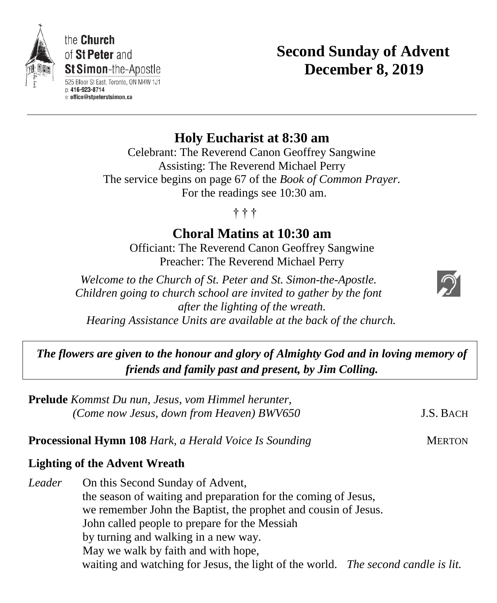

# **Second Sunday of Advent December 8, 2019**

## **Holy Eucharist at 8:30 am**

Celebrant: The Reverend Canon Geoffrey Sangwine Assisting: The Reverend Michael Perry The service begins on page 67 of the *Book of Common Prayer.* For the readings see 10:30 am.

† † †

## **Choral Matins at 10:30 am**

Officiant: The Reverend Canon Geoffrey Sangwine Preacher: The Reverend Michael Perry

*Welcome to the Church of St. Peter and St. Simon-the-Apostle. Children going to church school are invited to gather by the font after the lighting of the wreath. Hearing Assistance Units are available at the back of the church.*



*The flowers are given to the honour and glory of Almighty God and in loving memory of friends and family past and present, by Jim Colling.*

**Prelude** *Kommst Du nun, Jesus, vom Himmel herunter, (Come now Jesus, down from Heaven) BWV650* J.S. BACH

#### **Processional Hymn 108** *Hark, a Herald Voice Is Sounding* MERTON

#### **Lighting of the Advent Wreath**

*Leader* On this Second Sunday of Advent, the season of waiting and preparation for the coming of Jesus, we remember John the Baptist, the prophet and cousin of Jesus. John called people to prepare for the Messiah by turning and walking in a new way. May we walk by faith and with hope, waiting and watching for Jesus, the light of the world. *The second candle is lit.*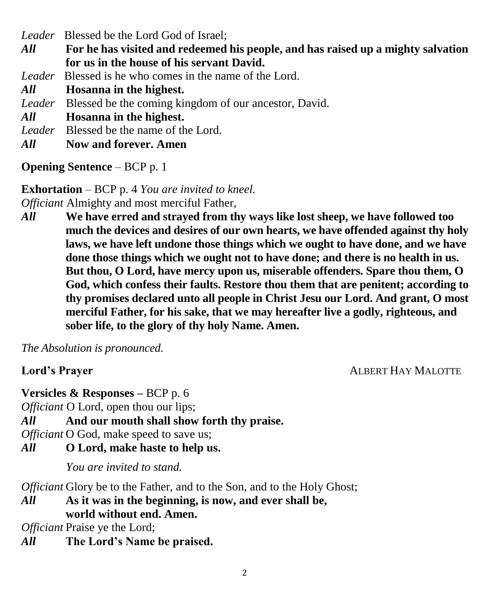*Leader* Blessed be the Lord God of Israel;

*All* **For he has visited and redeemed his people, and has raised up a mighty salvation for us in the house of his servant David.**

*Leader* Blessed is he who comes in the name of the Lord.

- *All* **Hosanna in the highest.**
- *Leader* Blessed be the coming kingdom of our ancestor, David.
- *All* **Hosanna in the highest.**
- *Leader* Blessed be the name of the Lord.
- *All* **Now and forever. Amen**

## **Opening Sentence** – BCP p. 1

**Exhortation** – BCP p. 4 *You are invited to kneel.*

*Officiant* Almighty and most merciful Father,

*All* **We have erred and strayed from thy ways like lost sheep, we have followed too much the devices and desires of our own hearts, we have offended against thy holy laws, we have left undone those things which we ought to have done, and we have done those things which we ought not to have done; and there is no health in us. But thou, O Lord, have mercy upon us, miserable offenders. Spare thou them, O God, which confess their faults. Restore thou them that are penitent; according to thy promises declared unto all people in Christ Jesu our Lord. And grant, O most merciful Father, for his sake, that we may hereafter live a godly, righteous, and sober life, to the glory of thy holy Name. Amen.**

*The Absolution is pronounced.* 

**Lord's Prayer** *ALBERT HAY MALOTTE* 

**Versicles & Responses –** BCP p. 6

*Officiant* O Lord, open thou our lips;

*All* **And our mouth shall show forth thy praise.**

*Officiant* O God, make speed to save us;

*All* **O Lord, make haste to help us.**

*You are invited to stand.*

*Officiant* Glory be to the Father, and to the Son, and to the Holy Ghost;

*All* **As it was in the beginning, is now, and ever shall be, world without end. Amen.**

*Officiant* Praise ye the Lord;

*All* **The Lord's Name be praised.**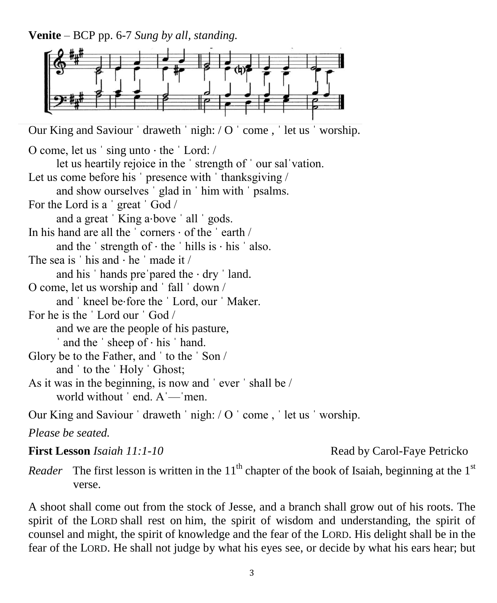**Venite** – BCP pp. 6-7 *Sung by all, standing.*

Our King and Saviour ˈ draweth ˈ nigh: / O ˈ come , ˈ let us ˈ worship. O come, let us ˈ sing unto ⋅ the ˈ Lord: / let us heartily rejoice in the ˈ strength of ˈ our salˈvation. Let us come before his ' presence with ' thanksgiving / and show ourselves ˈ glad in ˈ him with ˈ psalms. For the Lord is a ˈ great ˈ God / and a great 'King a⋅bove ' all ' gods. In his hand are all the ˈ corners ⋅ of the ˈ earth / and the  $\cdot$  strength of  $\cdot$  the  $\cdot$  hills is  $\cdot$  his  $\cdot$  also. The sea is  $'$  his and  $\cdot$  he  $'$  made it / and his ˈ hands preˈpared the ⋅ dry ˈ land. O come, let us worship and ˈ fall ˈ down / and ˈ kneel be⋅fore the ˈ Lord, our ˈ Maker. For he is the ˈ Lord our ˈ God / and we are the people of his pasture, ˈ and the ˈ sheep of ⋅ his ˈ hand. Glory be to the Father, and ˈ to the ˈ Son / and ˈ to the ˈ Holy ˈ Ghost; As it was in the beginning, is now and ˈ ever ˈ shall be / world without ˈ end. Aˈ—ˈmen. Our King and Saviour ˈ draweth ˈ nigh: / O ˈ come , ˈ let us ˈ worship.

*Please be seated.*

**First Lesson** *Isaiah 11:1-10* Read by Carol-Faye Petricko

*Reader* The first lesson is written in the  $11<sup>th</sup>$  chapter of the book of Isaiah, beginning at the  $1<sup>st</sup>$ verse.

A shoot shall come out from the stock of Jesse, and a branch shall grow out of his roots. The spirit of the LORD shall rest on him, the spirit of wisdom and understanding, the spirit of counsel and might, the spirit of knowledge and the fear of the LORD. His delight shall be in the fear of the LORD. He shall not judge by what his eyes see, or decide by what his ears hear; but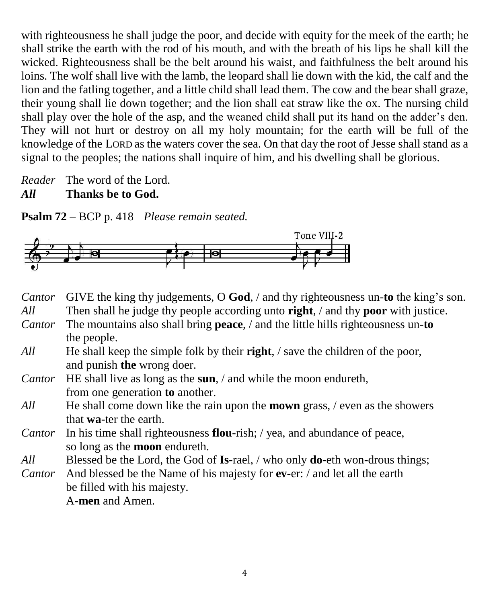with righteousness he shall judge the poor, and decide with equity for the meek of the earth; he shall strike the earth with the rod of his mouth, and with the breath of his lips he shall kill the wicked. Righteousness shall be the belt around his waist, and faithfulness the belt around his loins. The wolf shall live with the lamb, the leopard shall lie down with the kid, the calf and the lion and the fatling together, and a little child shall lead them. The cow and the bear shall graze, their young shall lie down together; and the lion shall eat straw like the ox. The nursing child shall play over the hole of the asp, and the weaned child shall put its hand on the adder's den. They will not hurt or destroy on all my holy mountain; for the earth will be full of the knowledge of the LORD as the waters cover the sea. On that day the root of Jesse shall stand as a signal to the peoples; the nations shall inquire of him, and his dwelling shall be glorious.

*Reader* The word of the Lord.

### *All* **Thanks be to God.**

**Psalm 72** – BCP p. 418*Please remain seated.*



| GIVE the king thy judgements, $O$ God, / and thy righteousness un-to the king's son.     |
|------------------------------------------------------------------------------------------|
| Then shall he judge thy people according unto right, / and thy poor with justice.        |
| The mountains also shall bring <b>peace</b> , / and the little hills righteousness un-to |
| the people.                                                                              |
| He shall keep the simple folk by their right, $\ell$ save the children of the poor,      |
| and punish the wrong doer.                                                               |
| HE shall live as long as the sun, $\alpha$ and while the moon endureth,                  |
| from one generation to another.                                                          |
| He shall come down like the rain upon the <b>mown</b> grass, $/$ even as the showers     |
| that wa-ter the earth.                                                                   |
| In his time shall righteousness flou-rish; / yea, and abundance of peace,                |
| so long as the <b>moon</b> endureth.                                                     |
| Blessed be the Lord, the God of Is-rael, / who only <b>do</b> -eth won-drous things;     |
| And blessed be the Name of his majesty for ev-er: / and let all the earth<br>Cantor      |
| be filled with his majesty.                                                              |
|                                                                                          |

A-**men** and Amen.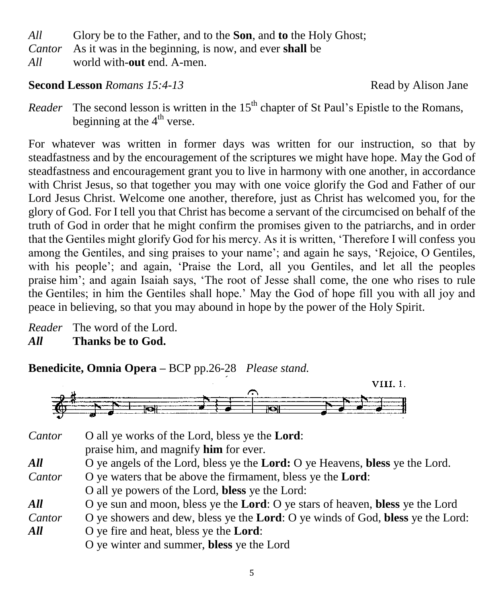- *All* Glory be to the Father, and to the **Son**, and **to** the Holy Ghost;
- *Cantor* As it was in the beginning, is now, and ever **shall** be
- *All* world with-**out** end. A-men.

**Second Lesson** *Romans 15:4-13* Read by Alison Jane

*Reader* The second lesson is written in the 15<sup>th</sup> chapter of St Paul's Epistle to the Romans, beginning at the  $4<sup>th</sup>$  verse.

For whatever was written in former days was written for our instruction, so that by steadfastness and by the encouragement of the scriptures we might have hope. May the God of steadfastness and encouragement grant you to live in harmony with one another, in accordance with Christ Jesus, so that together you may with one voice glorify the God and Father of our Lord Jesus Christ. Welcome one another, therefore, just as Christ has welcomed you, for the glory of God. For I tell you that Christ has become a servant of the circumcised on behalf of the truth of God in order that he might confirm the promises given to the patriarchs, and in order that the Gentiles might glorify God for his mercy. As it is written, 'Therefore I will confess you among the Gentiles, and sing praises to your name'; and again he says, 'Rejoice, O Gentiles, with his people'; and again, 'Praise the Lord, all you Gentiles, and let all the peoples praise him'; and again Isaiah says, 'The root of Jesse shall come, the one who rises to rule the Gentiles; in him the Gentiles shall hope.' May the God of hope fill you with all joy and peace in believing, so that you may abound in hope by the power of the Holy Spirit.

*Reader* The word of the Lord. *All* **Thanks be to God.**

**Benedicite, Omnia Opera –** BCP pp.26-28 *Please stand.*



*Cantor* O all ye works of the Lord, bless ye the **Lord**: praise him, and magnify **him** for ever. *All* O ye angels of the Lord, bless ye the **Lord:** O ye Heavens, **bless** ye the Lord. *Cantor* O ye waters that be above the firmament, bless ye the **Lord**: O all ye powers of the Lord, **bless** ye the Lord: *All* O ye sun and moon, bless ye the **Lord**: O ye stars of heaven, **bless** ye the Lord *Cantor* O ye showers and dew, bless ye the **Lord**: O ye winds of God, **bless** ye the Lord: *All* O ye fire and heat, bless ye the **Lord**: O ye winter and summer, **bless** ye the Lord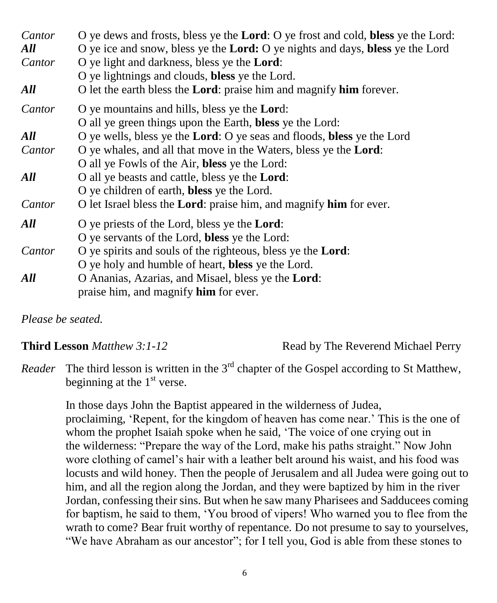| Cantor<br>All | O ye dews and frosts, bless ye the <b>Lord</b> : O ye frost and cold, <b>bless</b> ye the Lord:<br>O ye ice and snow, bless ye the Lord: O ye nights and days, bless ye the Lord |  |
|---------------|----------------------------------------------------------------------------------------------------------------------------------------------------------------------------------|--|
| Cantor        | O ye light and darkness, bless ye the <b>Lord</b> :                                                                                                                              |  |
|               | O ye lightnings and clouds, bless ye the Lord.                                                                                                                                   |  |
| All           | O let the earth bless the <b>Lord</b> : praise him and magnify <b>him</b> forever.                                                                                               |  |
| Cantor        | O ye mountains and hills, bless ye the Lord:                                                                                                                                     |  |
|               | O all ye green things upon the Earth, bless ye the Lord:                                                                                                                         |  |
| All           | O ye wells, bless ye the <b>Lord</b> : O ye seas and floods, <b>bless</b> ye the Lord                                                                                            |  |
| Cantor        | O ye whales, and all that move in the Waters, bless ye the Lord:                                                                                                                 |  |
|               | O all ye Fowls of the Air, bless ye the Lord:                                                                                                                                    |  |
| All           | O all ye beasts and cattle, bless ye the Lord:                                                                                                                                   |  |
|               | O ye children of earth, <b>bless</b> ye the Lord.                                                                                                                                |  |
| Cantor        | O let Israel bless the <b>Lord</b> : praise him, and magnify <b>him</b> for ever.                                                                                                |  |
| All           | O ye priests of the Lord, bless ye the Lord:                                                                                                                                     |  |
|               | O ye servants of the Lord, bless ye the Lord:                                                                                                                                    |  |
| Cantor        | O ye spirits and souls of the righteous, bless ye the <b>Lord</b> :                                                                                                              |  |
|               | O ye holy and humble of heart, bless ye the Lord.                                                                                                                                |  |
| All           | O Ananias, Azarias, and Misael, bless ye the Lord:                                                                                                                               |  |
|               | praise him, and magnify <b>him</b> for ever.                                                                                                                                     |  |

*Please be seated.*

Third Lesson *Matthew 3:1-12* Read by The Reverend Michael Perry

*Reader* The third lesson is written in the 3<sup>rd</sup> chapter of the Gospel according to St Matthew, beginning at the  $1<sup>st</sup>$  verse.

In those days John the Baptist appeared in the wilderness of Judea, proclaiming, 'Repent, for the kingdom of heaven has come near.' This is the one of whom the prophet Isaiah spoke when he said, 'The voice of one crying out in the wilderness: "Prepare the way of the Lord, make his paths straight." Now John wore clothing of camel's hair with a leather belt around his waist, and his food was locusts and wild honey. Then the people of Jerusalem and all Judea were going out to him, and all the region along the Jordan, and they were baptized by him in the river Jordan, confessing their sins. But when he saw many Pharisees and Sadducees coming for baptism, he said to them, 'You brood of vipers! Who warned you to flee from the wrath to come? Bear fruit worthy of repentance. Do not presume to say to yourselves, "We have Abraham as our ancestor"; for I tell you, God is able from these stones to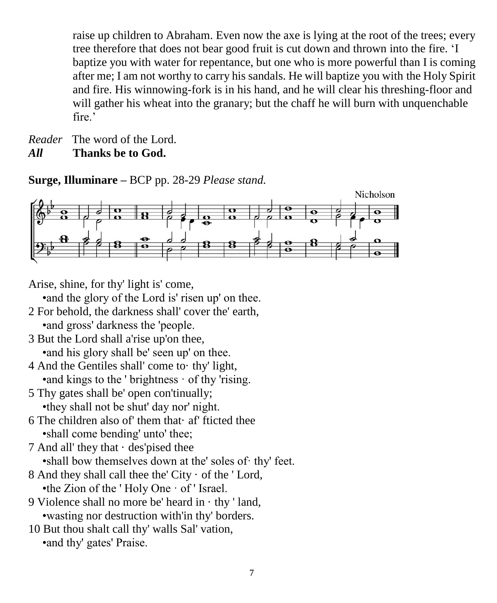raise up children to Abraham. Even now the axe is lying at the root of the trees; every tree therefore that does not bear good fruit is cut down and thrown into the fire. 'I baptize you with water for repentance, but one who is more powerful than I is coming after me; I am not worthy to carry his sandals. He will baptize you with the Holy Spirit and fire. His winnowing-fork is in his hand, and he will clear his threshing-floor and will gather his wheat into the granary; but the chaff he will burn with unquenchable fire.'

*Reader* The word of the Lord. *All* **Thanks be to God.**

**Surge, Illuminare –** BCP pp. 28-29 *Please stand.*



Arise, shine, for thy' light is' come,

•and the glory of the Lord is' risen up' on thee.

- 2 For behold, the darkness shall' cover the' earth, •and gross' darkness the 'people.
- 3 But the Lord shall a'rise up'on thee, •and his glory shall be' seen up' on thee.
- 4 And the Gentiles shall' come to· thy' light, •and kings to the ' brightness  $\cdot$  of thy 'rising.
- 5 Thy gates shall be' open con'tinually; •they shall not be shut' day nor' night.
- 6 The children also of them that  $\cdot$  af fticted thee •shall come bending' unto' thee;
- 7 And all' they that · des'pised thee •shall bow themselves down at the' soles of· thy' feet.
- 8 And they shall call thee the' City · of the ' Lord, •the Zion of the ' Holy One · of ' Israel.
- 9 Violence shall no more be' heard in · thy ' land, •wasting nor destruction with'in thy' borders.
- 10 But thou shalt call thy' walls Sal' vation, •and thy' gates' Praise.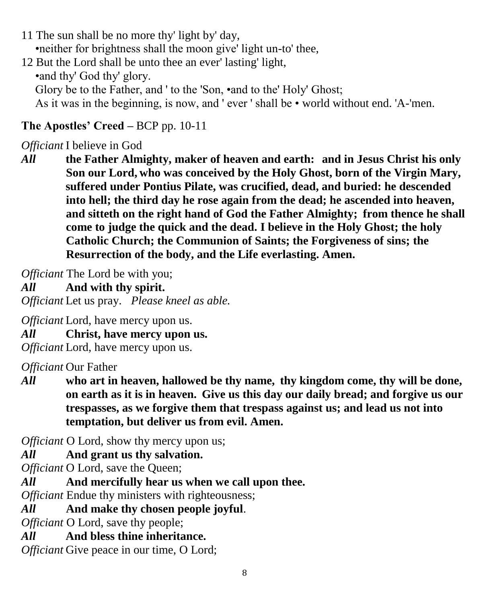- 11 The sun shall be no more thy' light by' day, •neither for brightness shall the moon give' light un-to' thee,
- 12 But the Lord shall be unto thee an ever' lasting' light, •and thy' God thy' glory. Glory be to the Father, and ' to the 'Son, •and to the' Holy' Ghost; As it was in the beginning, is now, and ' ever ' shall be • world without end. 'A-'men.

## **The Apostles' Creed –** BCP pp. 10-11

## *Officiant* I believe in God

*All* **the Father Almighty, maker of heaven and earth: and in Jesus Christ his only Son our Lord, who was conceived by the Holy Ghost, born of the Virgin Mary, suffered under Pontius Pilate, was crucified, dead, and buried: he descended into hell; the third day he rose again from the dead; he ascended into heaven, and sitteth on the right hand of God the Father Almighty; from thence he shall come to judge the quick and the dead. I believe in the Holy Ghost; the holy Catholic Church; the Communion of Saints; the Forgiveness of sins; the Resurrection of the body, and the Life everlasting. Amen.**

*Officiant* The Lord be with you;

*All* **And with thy spirit.**

*Officiant* Let us pray. *Please kneel as able.*

*Officiant* Lord, have mercy upon us.

*All* **Christ, have mercy upon us.**

*Officiant* Lord, have mercy upon us.

*Officiant* Our Father

*All* **who art in heaven, hallowed be thy name, thy kingdom come, thy will be done, on earth as it is in heaven. Give us this day our daily bread; and forgive us our trespasses, as we forgive them that trespass against us; and lead us not into temptation, but deliver us from evil. Amen.**

*Officiant* O Lord, show thy mercy upon us;

*All* **And grant us thy salvation.**

*Officiant* O Lord, save the Queen;

*All* **And mercifully hear us when we call upon thee.**

*Officiant* Endue thy ministers with righteousness;

*All* **And make thy chosen people joyful**.

*Officiant* O Lord, save thy people;

*All* **And bless thine inheritance.**

*Officiant* Give peace in our time, O Lord;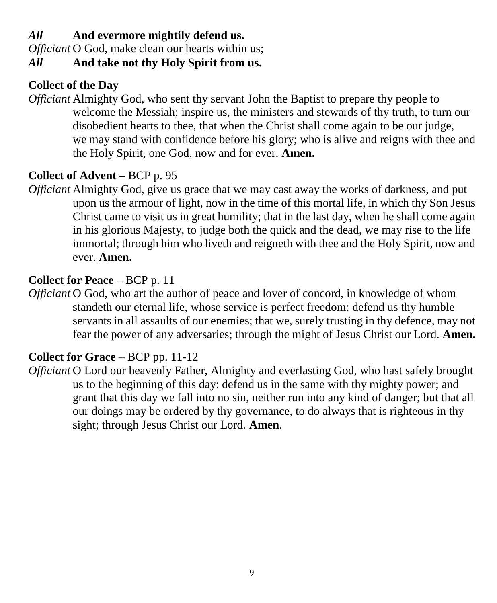## *All* **And evermore mightily defend us.**

*Officiant* O God, make clean our hearts within us;

## *All* **And take not thy Holy Spirit from us.**

## **Collect of the Day**

*Officiant* Almighty God, who sent thy servant John the Baptist to prepare thy people to welcome the Messiah; inspire us, the ministers and stewards of thy truth, to turn our disobedient hearts to thee, that when the Christ shall come again to be our judge, we may stand with confidence before his glory; who is alive and reigns with thee and the Holy Spirit, one God, now and for ever. **Amen.**

## **Collect of Advent –** BCP p. 95

*Officiant* Almighty God, give us grace that we may cast away the works of darkness, and put upon us the armour of light, now in the time of this mortal life, in which thy Son Jesus Christ came to visit us in great humility; that in the last day, when he shall come again in his glorious Majesty, to judge both the quick and the dead, we may rise to the life immortal; through him who liveth and reigneth with thee and the Holy Spirit, now and ever. **Amen.**

## **Collect for Peace –** BCP p. 11

*Officiant* O God, who art the author of peace and lover of concord, in knowledge of whom standeth our eternal life, whose service is perfect freedom: defend us thy humble servants in all assaults of our enemies; that we, surely trusting in thy defence, may not fear the power of any adversaries; through the might of Jesus Christ our Lord. **Amen.**

## **Collect for Grace –** BCP pp. 11-12

*Officiant* O Lord our heavenly Father, Almighty and everlasting God, who hast safely brought us to the beginning of this day: defend us in the same with thy mighty power; and grant that this day we fall into no sin, neither run into any kind of danger; but that all our doings may be ordered by thy governance, to do always that is righteous in thy sight; through Jesus Christ our Lord. **Amen**.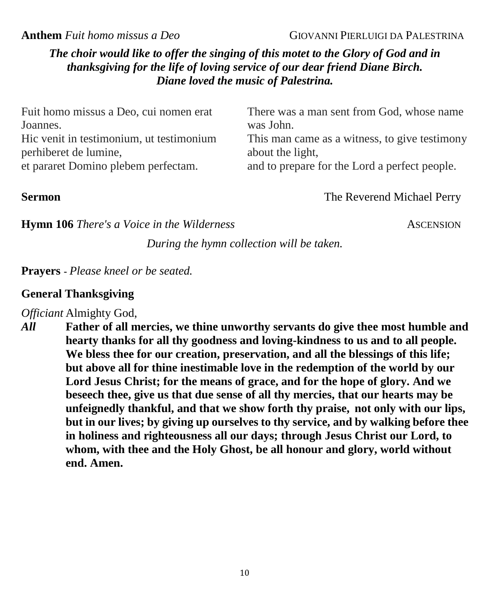**Anthem** *Fuit homo missus a Deo* GIOVANNI PIERLUIGI DA PALESTRINA

*The choir would like to offer the singing of this motet to the Glory of God and in thanksgiving for the life of loving service of our dear friend Diane Birch. Diane loved the music of Palestrina.*

| Fuit homo missus a Deo, cui nomen erat               | There was a man sent from God, whose name<br>was John. |
|------------------------------------------------------|--------------------------------------------------------|
| Joannes.<br>Hic venit in testimonium, ut testimonium | This man came as a witness, to give testimony          |
| perhiberet de lumine,                                | about the light,                                       |
| et pararet Domino plebem perfectam.                  | and to prepare for the Lord a perfect people.          |

**Sermon** The Reverend Michael Perry

**Hymn 106** *There's a Voice in the Wilderness* **ASCENSION** 

*During the hymn collection will be taken.*

**Prayers -** *Please kneel or be seated.*

#### **General Thanksgiving**

#### *Officiant* Almighty God,

*All* **Father of all mercies, we thine unworthy servants do give thee most humble and hearty thanks for all thy goodness and loving-kindness to us and to all people. We bless thee for our creation, preservation, and all the blessings of this life; but above all for thine inestimable love in the redemption of the world by our Lord Jesus Christ; for the means of grace, and for the hope of glory. And we beseech thee, give us that due sense of all thy mercies, that our hearts may be unfeignedly thankful, and that we show forth thy praise, not only with our lips, but in our lives; by giving up ourselves to thy service, and by walking before thee in holiness and righteousness all our days; through Jesus Christ our Lord, to whom, with thee and the Holy Ghost, be all honour and glory, world without end. Amen.**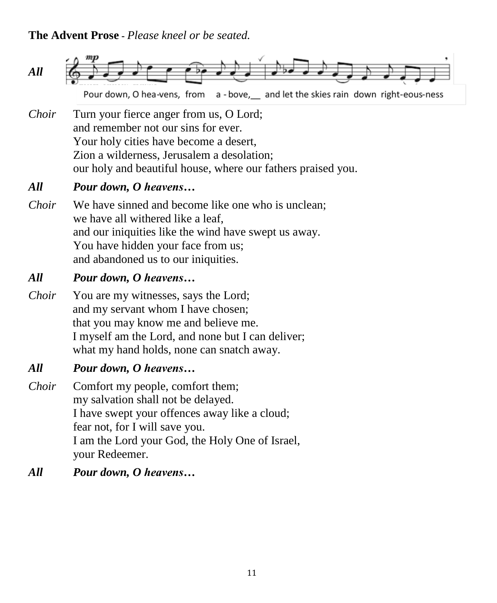#### **The Advent Prose -** *Please kneel or be seated.*



Pour down, O hea-vens, from a - bove, and let the skies rain down right-eous-ness

*Choir* Turn your fierce anger from us, O Lord; and remember not our sins for ever. Your holy cities have become a desert, Zion a wilderness, Jerusalem a desolation; our holy and beautiful house, where our fathers praised you.

#### *All Pour down, O heavens…*

*Choir* We have sinned and become like one who is unclean: we have all withered like a leaf, and our iniquities like the wind have swept us away. You have hidden your face from us; and abandoned us to our iniquities.

#### *All Pour down, O heavens…*

- *Choir* You are my witnesses, says the Lord; and my servant whom I have chosen; that you may know me and believe me. I myself am the Lord, and none but I can deliver; what my hand holds, none can snatch away.
- *All Pour down, O heavens…*
- *Choir* Comfort my people, comfort them; my salvation shall not be delayed. I have swept your offences away like a cloud; fear not, for I will save you. I am the Lord your God, the Holy One of Israel, your Redeemer.
- *All Pour down, O heavens…*